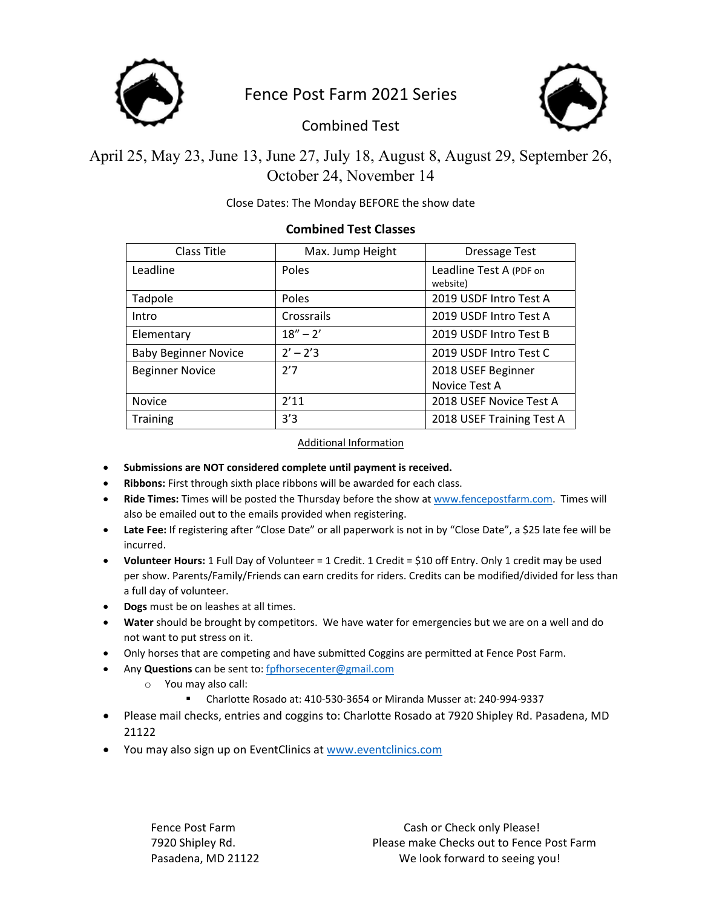

# Fence Post Farm 2021 Series



Combined Test

April 25, May 23, June 13, June 27, July 18, August 8, August 29, September 26, October 24, November 14

### Close Dates: The Monday BEFORE the show date

### **Combined Test Classes**

| Class Title                 | Max. Jump Height | <b>Dressage Test</b>                |  |
|-----------------------------|------------------|-------------------------------------|--|
| Leadline                    | Poles            | Leadline Test A (PDF on<br>website) |  |
| Tadpole                     | Poles            | 2019 USDF Intro Test A              |  |
| Intro                       | Crossrails       | 2019 USDF Intro Test A              |  |
| Elementary                  | $18'' - 2'$      | 2019 USDF Intro Test B              |  |
| <b>Baby Beginner Novice</b> | $2' - 2'3$       | 2019 USDF Intro Test C              |  |
| <b>Beginner Novice</b>      | 2'7              | 2018 USEF Beginner<br>Novice Test A |  |
| <b>Novice</b>               | 2'11             | 2018 USEF Novice Test A             |  |
| <b>Training</b>             | 3'3              | 2018 USEF Training Test A           |  |

#### Additional Information

- **Submissions are NOT considered complete until payment is received.**
- **Ribbons:** First through sixth place ribbons will be awarded for each class.
- **Ride Times:** Times will be posted the Thursday before the show at www.fencepostfarm.com. Times will also be emailed out to the emails provided when registering.
- **Late Fee:** If registering after "Close Date" or all paperwork is not in by "Close Date", a \$25 late fee will be incurred.
- **Volunteer Hours:** 1 Full Day of Volunteer = 1 Credit. 1 Credit = \$10 off Entry. Only 1 credit may be used per show. Parents/Family/Friends can earn credits for riders. Credits can be modified/divided for less than a full day of volunteer.
- **Dogs** must be on leashes at all times.
- **Water** should be brought by competitors. We have water for emergencies but we are on a well and do not want to put stress on it.
- Only horses that are competing and have submitted Coggins are permitted at Fence Post Farm.
- Any **Questions** can be sent to: fpfhorsecenter@gmail.com
	- o You may also call:
		- Charlotte Rosado at: 410‐530‐3654 or Miranda Musser at: 240‐994‐9337
- Please mail checks, entries and coggins to: Charlotte Rosado at 7920 Shipley Rd. Pasadena, MD 21122
- You may also sign up on EventClinics at www.eventclinics.com